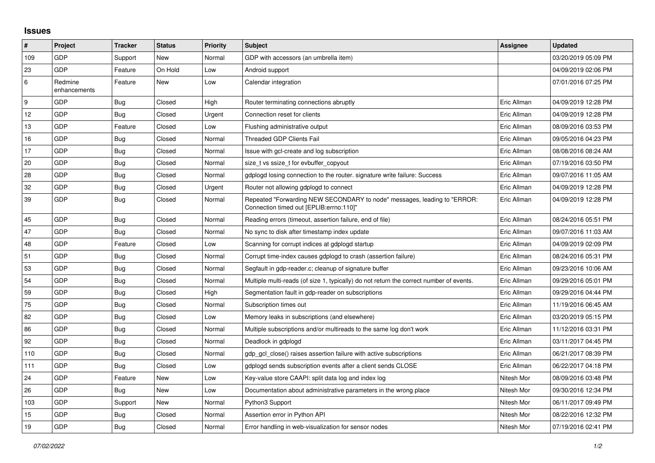## **Issues**

| #   | Project                 | <b>Tracker</b> | <b>Status</b> | <b>Priority</b> | <b>Subject</b>                                                                                                      | Assignee    | <b>Updated</b>      |
|-----|-------------------------|----------------|---------------|-----------------|---------------------------------------------------------------------------------------------------------------------|-------------|---------------------|
| 109 | GDP                     | Support        | New           | Normal          | GDP with accessors (an umbrella item)                                                                               |             | 03/20/2019 05:09 PM |
| 23  | GDP                     | Feature        | On Hold       | Low             | Android support                                                                                                     |             | 04/09/2019 02:06 PM |
| 6   | Redmine<br>enhancements | Feature        | New           | Low             | Calendar integration                                                                                                |             | 07/01/2016 07:25 PM |
| 9   | GDP                     | <b>Bug</b>     | Closed        | High            | Router terminating connections abruptly                                                                             | Eric Allman | 04/09/2019 12:28 PM |
| 12  | <b>GDP</b>              | <b>Bug</b>     | Closed        | Urgent          | Connection reset for clients                                                                                        | Eric Allman | 04/09/2019 12:28 PM |
| 13  | GDP                     | Feature        | Closed        | Low             | Flushing administrative output                                                                                      | Eric Allman | 08/09/2016 03:53 PM |
| 16  | GDP                     | <b>Bug</b>     | Closed        | Normal          | <b>Threaded GDP Clients Fail</b>                                                                                    | Eric Allman | 09/05/2016 04:23 PM |
| 17  | GDP                     | <b>Bug</b>     | Closed        | Normal          | Issue with gcl-create and log subscription                                                                          | Eric Allman | 08/08/2016 08:24 AM |
| 20  | GDP                     | <b>Bug</b>     | Closed        | Normal          | size_t vs ssize_t for evbuffer_copyout                                                                              | Eric Allman | 07/19/2016 03:50 PM |
| 28  | GDP                     | <b>Bug</b>     | Closed        | Normal          | gdplogd losing connection to the router, signature write failure: Success                                           | Eric Allman | 09/07/2016 11:05 AM |
| 32  | GDP                     | <b>Bug</b>     | Closed        | Urgent          | Router not allowing gdplogd to connect                                                                              | Eric Allman | 04/09/2019 12:28 PM |
| 39  | GDP                     | <b>Bug</b>     | Closed        | Normal          | Repeated "Forwarding NEW SECONDARY to node" messages, leading to "ERROR:<br>Connection timed out [EPLIB:errno:110]" | Eric Allman | 04/09/2019 12:28 PM |
| 45  | <b>GDP</b>              | <b>Bug</b>     | Closed        | Normal          | Reading errors (timeout, assertion failure, end of file)                                                            | Eric Allman | 08/24/2016 05:51 PM |
| 47  | GDP                     | <b>Bug</b>     | Closed        | Normal          | No sync to disk after timestamp index update                                                                        | Eric Allman | 09/07/2016 11:03 AM |
| 48  | GDP                     | Feature        | Closed        | Low             | Scanning for corrupt indices at gdplogd startup                                                                     | Eric Allman | 04/09/2019 02:09 PM |
| 51  | <b>GDP</b>              | <b>Bug</b>     | Closed        | Normal          | Corrupt time-index causes gdplogd to crash (assertion failure)                                                      | Eric Allman | 08/24/2016 05:31 PM |
| 53  | GDP                     | <b>Bug</b>     | Closed        | Normal          | Segfault in gdp-reader.c; cleanup of signature buffer                                                               | Eric Allman | 09/23/2016 10:06 AM |
| 54  | GDP                     | <b>Bug</b>     | Closed        | Normal          | Multiple multi-reads (of size 1, typically) do not return the correct number of events.                             | Eric Allman | 09/29/2016 05:01 PM |
| 59  | GDP                     | Bug            | Closed        | High            | Segmentation fault in gdp-reader on subscriptions                                                                   | Eric Allman | 09/29/2016 04:44 PM |
| 75  | GDP                     | <b>Bug</b>     | Closed        | Normal          | Subscription times out                                                                                              | Eric Allman | 11/19/2016 06:45 AM |
| 82  | GDP                     | <b>Bug</b>     | Closed        | Low             | Memory leaks in subscriptions (and elsewhere)                                                                       | Eric Allman | 03/20/2019 05:15 PM |
| 86  | <b>GDP</b>              | Bug            | Closed        | Normal          | Multiple subscriptions and/or multireads to the same log don't work                                                 | Eric Allman | 11/12/2016 03:31 PM |
| 92  | GDP                     | <b>Bug</b>     | Closed        | Normal          | Deadlock in gdplogd                                                                                                 | Eric Allman | 03/11/2017 04:45 PM |
| 110 | GDP                     | <b>Bug</b>     | Closed        | Normal          | gdp_gcl_close() raises assertion failure with active subscriptions                                                  | Eric Allman | 06/21/2017 08:39 PM |
| 111 | GDP                     | <b>Bug</b>     | Closed        | Low             | gdplogd sends subscription events after a client sends CLOSE                                                        | Eric Allman | 06/22/2017 04:18 PM |
| 24  | GDP                     | Feature        | New           | Low             | Key-value store CAAPI: split data log and index log                                                                 | Nitesh Mor  | 08/09/2016 03:48 PM |
| 26  | GDP                     | Bug            | New           | Low             | Documentation about administrative parameters in the wrong place                                                    | Nitesh Mor  | 09/30/2016 12:34 PM |
| 103 | <b>GDP</b>              | Support        | New           | Normal          | Python3 Support                                                                                                     | Nitesh Mor  | 06/11/2017 09:49 PM |
| 15  | GDP                     | <b>Bug</b>     | Closed        | Normal          | Assertion error in Python API                                                                                       | Nitesh Mor  | 08/22/2016 12:32 PM |
| 19  | GDP                     | <b>Bug</b>     | Closed        | Normal          | Error handling in web-visualization for sensor nodes                                                                | Nitesh Mor  | 07/19/2016 02:41 PM |